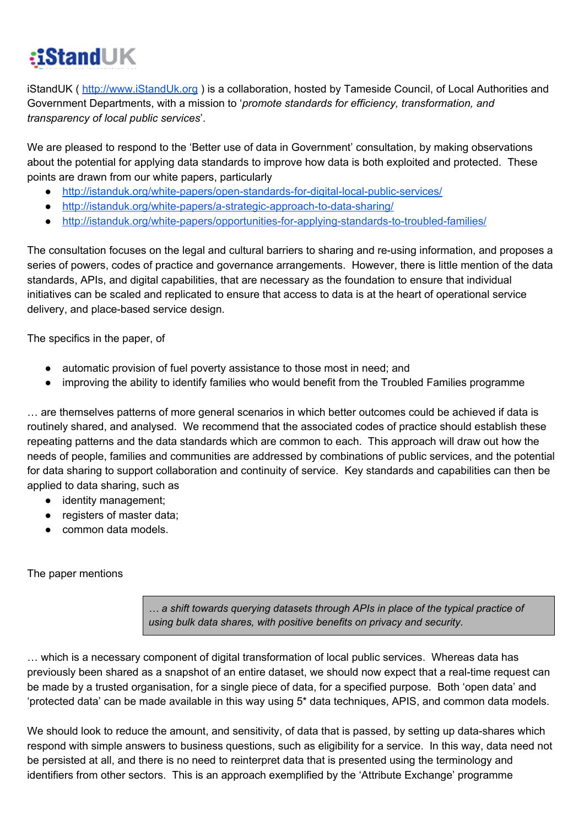## :iStandUK

iStandUK ( [http://www.iStandUk.org](http://www.istanduk.org/) ) is a collaboration, hosted by Tameside Council, of Local Authorities and Government Departments, with a mission to '*promote standards for efficiency, transformation, and transparency of local public services*'.

We are pleased to respond to the 'Better use of data in Government' consultation, by making observations about the potential for applying data standards to improve how data is both exploited and protected. These points are drawn from our white papers, particularly

- http://istanduk.org/white-papers/open-standards-for-digital-local-public-services/
- http://istanduk.org/white-papers/a-strategic-approach-to-data-sharing/
- http://istanduk.org/white-papers/opportunities-for-applying-standards-to-troubled-families/

The consultation focuses on the legal and cultural barriers to sharing and re-using information, and proposes a series of powers, codes of practice and governance arrangements. However, there is little mention of the data standards, APIs, and digital capabilities, that are necessary as the foundation to ensure that individual initiatives can be scaled and replicated to ensure that access to data is at the heart of operational service delivery, and place-based service design.

The specifics in the paper, of

- automatic provision of fuel poverty assistance to those most in need; and
- improving the ability to identify families who would benefit from the Troubled Families programme

… are themselves patterns of more general scenarios in which better outcomes could be achieved if data is routinely shared, and analysed. We recommend that the associated codes of practice should establish these repeating patterns and the data standards which are common to each. This approach will draw out how the needs of people, families and communities are addressed by combinations of public services, and the potential for data sharing to support collaboration and continuity of service. Key standards and capabilities can then be applied to data sharing, such as

- identity management;
- registers of master data;
- common data models.

The paper mentions

*… a shift towards querying datasets through APIs in place of the typical practice of using bulk data shares, with positive benefits on privacy and security*.

… which is a necessary component of digital transformation of local public services. Whereas data has previously been shared as a snapshot of an entire dataset, we should now expect that a real-time request can be made by a trusted organisation, for a single piece of data, for a specified purpose. Both 'open data' and 'protected data' can be made available in this way using 5\* data techniques, APIS, and common data models.

We should look to reduce the amount, and sensitivity, of data that is passed, by setting up data-shares which respond with simple answers to business questions, such as eligibility for a service. In this way, data need not be persisted at all, and there is no need to reinterpret data that is presented using the terminology and identifiers from other sectors. This is an approach exemplified by the 'Attribute Exchange' programme